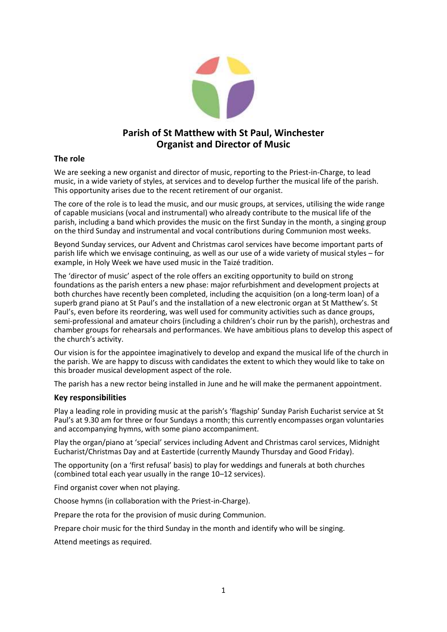

# **Parish of St Matthew with St Paul, Winchester Organist and Director of Music**

## **The role**

We are seeking a new organist and director of music, reporting to the Priest-in-Charge, to lead music, in a wide variety of styles, at services and to develop further the musical life of the parish. This opportunity arises due to the recent retirement of our organist.

The core of the role is to lead the music, and our music groups, at services, utilising the wide range of capable musicians (vocal and instrumental) who already contribute to the musical life of the parish, including a band which provides the music on the first Sunday in the month, a singing group on the third Sunday and instrumental and vocal contributions during Communion most weeks.

Beyond Sunday services, our Advent and Christmas carol services have become important parts of parish life which we envisage continuing, as well as our use of a wide variety of musical styles – for example, in Holy Week we have used music in the Taizé tradition.

The 'director of music' aspect of the role offers an exciting opportunity to build on strong foundations as the parish enters a new phase: major refurbishment and development projects at both churches have recently been completed, including the acquisition (on a long-term loan) of a superb grand piano at St Paul's and the installation of a new electronic organ at St Matthew's. St Paul's, even before its reordering, was well used for community activities such as dance groups, semi-professional and amateur choirs (including a children's choir run by the parish), orchestras and chamber groups for rehearsals and performances. We have ambitious plans to develop this aspect of the church's activity.

Our vision is for the appointee imaginatively to develop and expand the musical life of the church in the parish. We are happy to discuss with candidates the extent to which they would like to take on this broader musical development aspect of the role.

The parish has a new rector being installed in June and he will make the permanent appointment.

# **Key responsibilities**

Play a leading role in providing music at the parish's 'flagship' Sunday Parish Eucharist service at St Paul's at 9.30 am for three or four Sundays a month; this currently encompasses organ voluntaries and accompanying hymns, with some piano accompaniment.

Play the organ/piano at 'special' services including Advent and Christmas carol services, Midnight Eucharist/Christmas Day and at Eastertide (currently Maundy Thursday and Good Friday).

The opportunity (on a 'first refusal' basis) to play for weddings and funerals at both churches (combined total each year usually in the range 10–12 services).

Find organist cover when not playing.

Choose hymns (in collaboration with the Priest-in-Charge).

Prepare the rota for the provision of music during Communion.

Prepare choir music for the third Sunday in the month and identify who will be singing.

Attend meetings as required.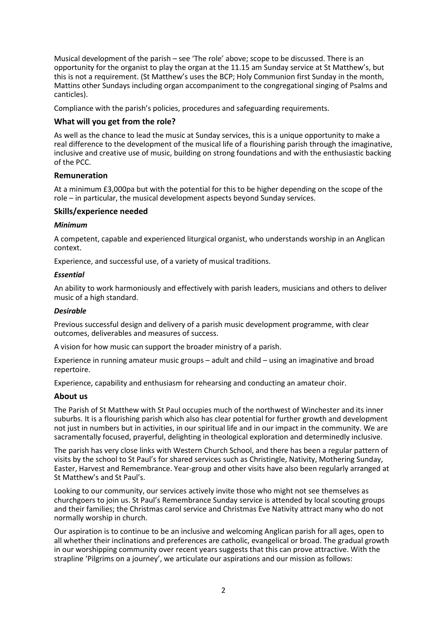Musical development of the parish – see 'The role' above; scope to be discussed. There is an opportunity for the organist to play the organ at the 11.15 am Sunday service at St Matthew's, but this is not a requirement. (St Matthew's uses the BCP; Holy Communion first Sunday in the month, Mattins other Sundays including organ accompaniment to the congregational singing of Psalms and canticles).

Compliance with the parish's policies, procedures and safeguarding requirements.

### **What will you get from the role?**

As well as the chance to lead the music at Sunday services, this is a unique opportunity to make a real difference to the development of the musical life of a flourishing parish through the imaginative, inclusive and creative use of music, building on strong foundations and with the enthusiastic backing of the PCC.

### **Remuneration**

At a minimum £3,000pa but with the potential for this to be higher depending on the scope of the role – in particular, the musical development aspects beyond Sunday services.

#### **Skills/experience needed**

#### *Minimum*

A competent, capable and experienced liturgical organist, who understands worship in an Anglican context.

Experience, and successful use, of a variety of musical traditions.

#### *Essential*

An ability to work harmoniously and effectively with parish leaders, musicians and others to deliver music of a high standard.

#### *Desirable*

Previous successful design and delivery of a parish music development programme, with clear outcomes, deliverables and measures of success.

A vision for how music can support the broader ministry of a parish.

Experience in running amateur music groups – adult and child – using an imaginative and broad repertoire.

Experience, capability and enthusiasm for rehearsing and conducting an amateur choir.

### **About us**

The Parish of St Matthew with St Paul occupies much of the northwest of Winchester and its inner suburbs. It is a flourishing parish which also has clear potential for further growth and development not just in numbers but in activities, in our spiritual life and in our impact in the community. We are sacramentally focused, prayerful, delighting in theological exploration and determinedly inclusive.

The parish has very close links with Western Church School, and there has been a regular pattern of visits by the school to St Paul's for shared services such as Christingle, Nativity, Mothering Sunday, Easter, Harvest and Remembrance. Year-group and other visits have also been regularly arranged at St Matthew's and St Paul's.

Looking to our community, our services actively invite those who might not see themselves as churchgoers to join us. St Paul's Remembrance Sunday service is attended by local scouting groups and their families; the Christmas carol service and Christmas Eve Nativity attract many who do not normally worship in church.

Our aspiration is to continue to be an inclusive and welcoming Anglican parish for all ages, open to all whether their inclinations and preferences are catholic, evangelical or broad. The gradual growth in our worshipping community over recent years suggests that this can prove attractive. With the strapline 'Pilgrims on a journey', we articulate our aspirations and our mission as follows: